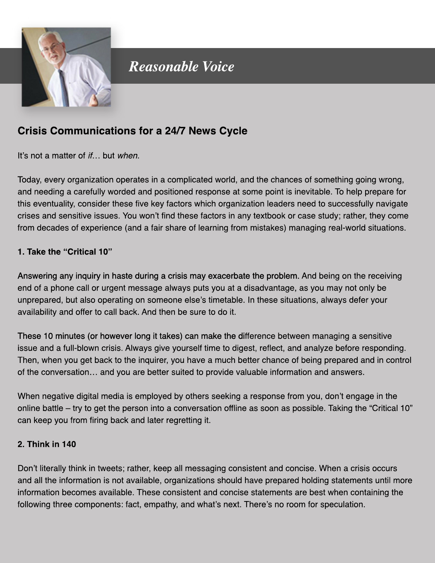

# **Reasonable Voice**

# **Crisis Communications for a 24/7 News Cycle**

It's not a matter of *if...* but when.

Today, every organization operates in a complicated world, and the chances of something going wrong, and needing a carefully worded and positioned response at some point is inevitable. To help prepare for this eventuality, consider these five key factors which organization leaders need to successfully navigate crises and sensitive issues. You won't find these factors in any textbook or case study; rather, they come from decades of experience (and a fair share of learning from mistakes) managing real-world situations.

#### 1. Take the "Critical 10"

Answering any inquiry in haste during a crisis may exacerbate the problem. And being on the receiving end of a phone call or urgent message always puts you at a disadvantage, as you may not only be unprepared, but also operating on someone else's timetable. In these situations, always defer your availability and offer to call back. And then be sure to do it.

These 10 minutes (or however long it takes) can make the difference between managing a sensitive issue and a full-blown crisis. Always give yourself time to digest, reflect, and analyze before responding. Then, when you get back to the inquirer, you have a much better chance of being prepared and in control of the conversation... and you are better suited to provide valuable information and answers.

When negative digital media is employed by others seeking a response from you, don't engage in the online battle – try to get the person into a conversation offline as soon as possible. Taking the "Critical 10" can keep you from firing back and later regretting it.

#### 2. Think in 140

Don't literally think in tweets; rather, keep all messaging consistent and concise. When a crisis occurs and all the information is not available, organizations should have prepared holding statements until more information becomes available. These consistent and concise statements are best when containing the following three components: fact, empathy, and what's next. There's no room for speculation.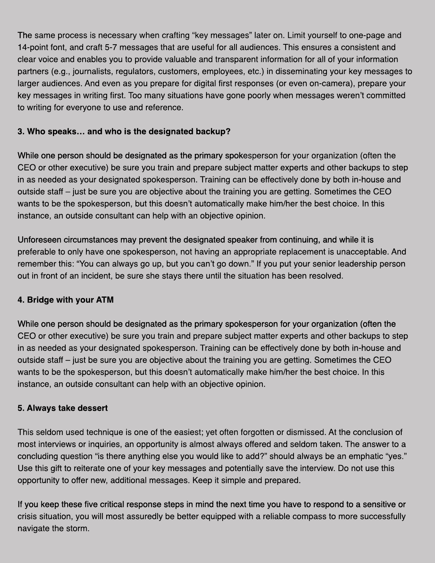The same process is necessary when crafting "key messages" later on. Limit yourself to one-page and 14-point font, and craft 5-7 messages that are useful for all audiences. This ensures a consistent and clear voice and enables you to provide valuable and transparent information for all of your information partners (e.g., journalists, regulators, customers, employees, etc.) in disseminating your key messages to larger audiences. And even as you prepare for digital first responses (or even on-camera), prepare your key messages in writing first. Too many situations have gone poorly when messages weren't committed to writing for everyone to use and reference.

# **3.Whospeaks… andwhoisthedesignatedbackup?**

While one person should be designated as the primary spokesperson for your organization (often the CEO or other executive) be sure you train and prepare subject matter experts and other backups to step in as needed as your designated spokesperson. Training can be effectively done by both in-house and outside staff – just be sure you are objective about the training you are getting. Sometimes the CEO wants to be the spokesperson, but this doesn't automatically make him/her the best choice. In this instance, an outside consultant can help with an objective opinion.

Unforeseen circumstances may prevent the designated speaker from continuing, and while it is preferable to only have one spokesperson, not having an appropriate replacement is unacceptable. And remember this: "You can always go up, but you can't go down." If you put your senior leadership person out in front of an incident, be sure she stays there until the situation has been resolved.

## **4.BridgewithyourATM**

While one person should be designated as the primary spokesperson for your organization (often the CEO or other executive) be sure you train and prepare subject matter experts and other backups to step in as needed as your designated spokesperson. Training can be effectively done by both in-house and outside staff–just be sure you are objective about the training you are getting. Sometimes the CEO wants to be the spokesperson, but this doesn't automatically make him/her the best choice. In this instance, an outside consultant can help with an objective opinion.

## **5.Alwaystakedessert**

This seldom used technique is one of the easiest; yet often forgotten or dismissed. At the conclusion of most interviews or inquiries, an opportunity is almost always offered and seldom taken. The answer to a concluding question "is there anything else you would like to add?" should always be an emphatic "yes." Use this gift to reiterate one of your key messages and potentially save the interview. Do not use this opportunity to offer new, additional messages. Keep it simple and prepared.

If you keep these five critical response steps in mind the next time you have to respond to a sensitive or crisis situation, you will most assuredly be better equipped with a reliable compass to more successfully navigate the storm.